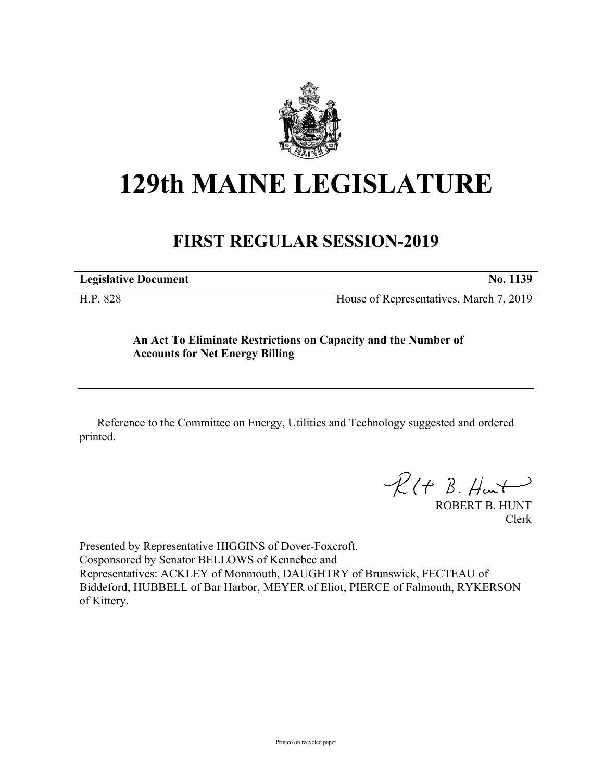

# **129th MAINE LEGISLATURE**

# **FIRST REGULAR SESSION-2019**

**Legislative Document No. 1139**

H.P. 828 House of Representatives, March 7, 2019

## **An Act To Eliminate Restrictions on Capacity and the Number of Accounts for Net Energy Billing**

Reference to the Committee on Energy, Utilities and Technology suggested and ordered printed.

 $R(H B. H +$ 

ROBERT B. HUNT Clerk

Presented by Representative HIGGINS of Dover-Foxcroft. Cosponsored by Senator BELLOWS of Kennebec and Representatives: ACKLEY of Monmouth, DAUGHTRY of Brunswick, FECTEAU of Biddeford, HUBBELL of Bar Harbor, MEYER of Eliot, PIERCE of Falmouth, RYKERSON of Kittery.